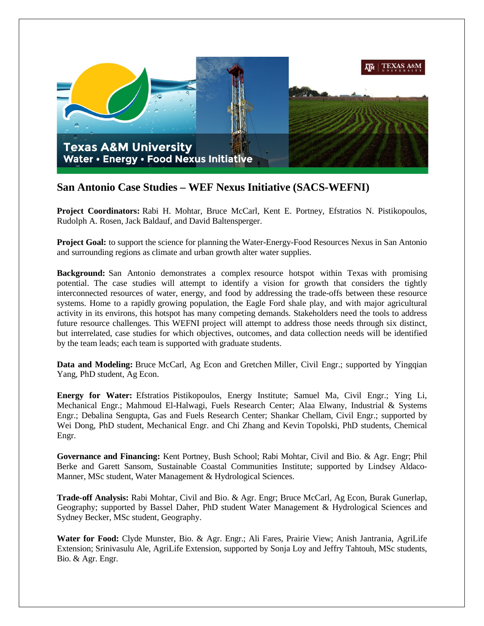

## **San Antonio Case Studies – WEF Nexus Initiative (SACS-WEFNI)**

**Project Coordinators:** Rabi H. Mohtar, Bruce McCarl, Kent E. Portney, Efstratios N. Pistikopoulos, Rudolph A. Rosen, Jack Baldauf, and David Baltensperger.

**Project Goal:** to support the science for planning the Water-Energy-Food Resources Nexus in San Antonio and surrounding regions as climate and urban growth alter water supplies.

**Background:** San Antonio demonstrates a complex resource hotspot within Texas with promising potential. The case studies will attempt to identify a vision for growth that considers the tightly interconnected resources of water, energy, and food by addressing the trade-offs between these resource systems. Home to a rapidly growing population, the Eagle Ford shale play, and with major agricultural activity in its environs, this hotspot has many competing demands. Stakeholders need the tools to address future resource challenges. This WEFNI project will attempt to address those needs through six distinct, but interrelated, case studies for which objectives, outcomes, and data collection needs will be identified by the team leads; each team is supported with graduate students.

**Data and Modeling:** Bruce McCarl, Ag Econ and Gretchen Miller, Civil Engr.; supported by Yingqian Yang, PhD student, Ag Econ.

**Energy for Water:** Efstratios Pistikopoulos, Energy Institute; Samuel Ma, Civil Engr.; Ying Li, Mechanical Engr.; Mahmoud El-Halwagi, Fuels Research Center; Alaa Elwany, Industrial & Systems Engr.; Debalina Sengupta, Gas and Fuels Research Center; Shankar Chellam, Civil Engr.; supported by Wei Dong, PhD student, Mechanical Engr. and Chi Zhang and Kevin Topolski, PhD students, Chemical Engr.

**Governance and Financing:** Kent Portney, Bush School; Rabi Mohtar, Civil and Bio. & Agr. Engr; Phil Berke and Garett Sansom, Sustainable Coastal Communities Institute; supported by Lindsey Aldaco-Manner, MSc student, Water Management & Hydrological Sciences.

**Trade-off Analysis:** Rabi Mohtar, Civil and Bio. & Agr. Engr; Bruce McCarl, Ag Econ, Burak Gunerlap, Geography; supported by Bassel Daher, PhD student Water Management & Hydrological Sciences and Sydney Becker, MSc student, Geography.

**Water for Food:** Clyde Munster, Bio. & Agr. Engr.; Ali Fares, Prairie View; Anish Jantrania, AgriLife Extension; Srinivasulu Ale, AgriLife Extension, supported by Sonja Loy and Jeffry Tahtouh, MSc students, Bio. & Agr. Engr.